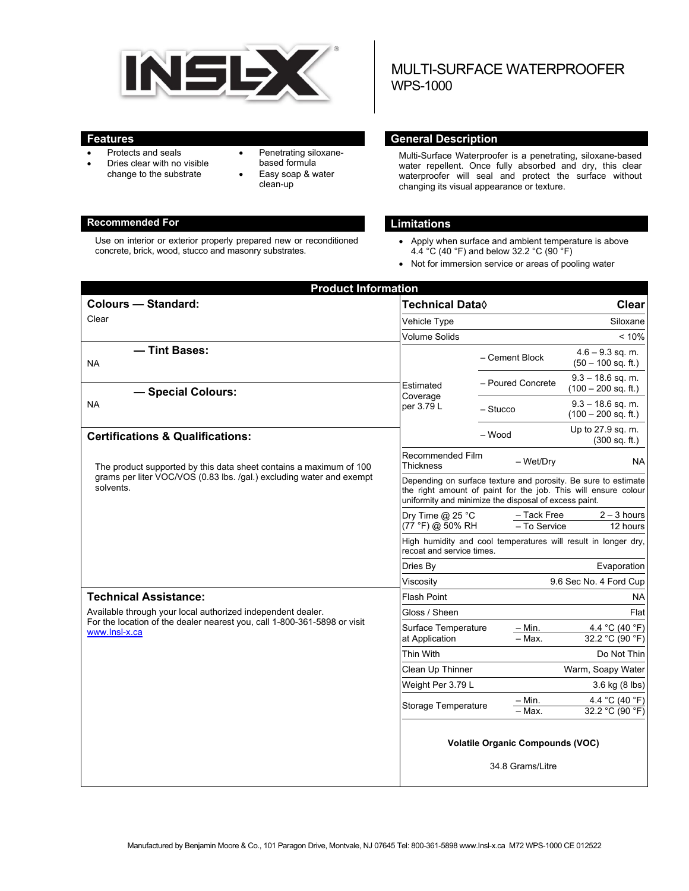

- Protects and seals
- Dries clear with no visible change to the substrate
- Penetrating siloxanebased formula
- Easy soap & water clean-up

#### **Recommended For Limitations**

Use on interior or exterior properly prepared new or reconditioned concrete, brick, wood, stucco and masonry substrates.

# MULTI-SURFACE WATERPROOFER WPS-1000

#### **Features General Description Contract Description Acts**

Multi-Surface Waterproofer is a penetrating, siloxane-based water repellent. Once fully absorbed and dry, this clear waterproofer will seal and protect the surface without changing its visual appearance or texture.

- Apply when surface and ambient temperature is above 4.4 °C (40 °F) and below 32.2 °C (90 °F)
- Not for immersion service or areas of pooling water

| <b>Product Information</b>                                                                                                                              |                                                                                                                                                                                           |                             |                                              |  |
|---------------------------------------------------------------------------------------------------------------------------------------------------------|-------------------------------------------------------------------------------------------------------------------------------------------------------------------------------------------|-----------------------------|----------------------------------------------|--|
| <b>Colours - Standard:</b>                                                                                                                              | <b>Technical Data</b> ♦                                                                                                                                                                   |                             | <b>Clear</b>                                 |  |
| Clear                                                                                                                                                   | Vehicle Type                                                                                                                                                                              |                             | Siloxane                                     |  |
|                                                                                                                                                         | <b>Volume Solids</b>                                                                                                                                                                      |                             | $< 10\%$                                     |  |
| - Tint Bases:<br><b>NA</b>                                                                                                                              |                                                                                                                                                                                           | - Cement Block              | $4.6 - 9.3$ sq. m.<br>$(50 - 100$ sq. ft.)   |  |
| Estimated<br>- Special Colours:<br>Coverage                                                                                                             |                                                                                                                                                                                           | - Poured Concrete           | $9.3 - 18.6$ sq. m.<br>$(100 - 200$ sq. ft.) |  |
| NA                                                                                                                                                      | per 3.79 L                                                                                                                                                                                | $-$ Stucco                  | $9.3 - 18.6$ sq. m.<br>$(100 - 200$ sq. ft.) |  |
| <b>Certifications &amp; Qualifications:</b>                                                                                                             |                                                                                                                                                                                           | - Wood                      | Up to 27.9 sq. m.<br>(300 sq. ft.)           |  |
| The product supported by this data sheet contains a maximum of 100<br>grams per liter VOC/VOS (0.83 lbs. /gal.) excluding water and exempt<br>solvents. | Recommended Film<br><b>Thickness</b>                                                                                                                                                      | - Wet/Dry                   | NA.                                          |  |
|                                                                                                                                                         | Depending on surface texture and porosity. Be sure to estimate<br>the right amount of paint for the job. This will ensure colour<br>uniformity and minimize the disposal of excess paint. |                             |                                              |  |
|                                                                                                                                                         | Dry Time $@$ 25 °C<br>(77 °F) @ 50% RH                                                                                                                                                    | - Tack Free<br>- To Service | $2 - 3$ hours<br>12 hours                    |  |
|                                                                                                                                                         | High humidity and cool temperatures will result in longer dry,<br>recoat and service times.                                                                                               |                             |                                              |  |
|                                                                                                                                                         | Dries By                                                                                                                                                                                  |                             | Evaporation                                  |  |
|                                                                                                                                                         | Viscosity                                                                                                                                                                                 |                             | 9.6 Sec No. 4 Ford Cup                       |  |
| <b>Technical Assistance:</b>                                                                                                                            | <b>Flash Point</b><br>NА                                                                                                                                                                  |                             |                                              |  |
| Available through your local authorized independent dealer.                                                                                             | Gloss / Sheen                                                                                                                                                                             |                             | Flat                                         |  |
| For the location of the dealer nearest you, call 1-800-361-5898 or visit<br>www.lnsl-x.ca                                                               | Surface Temperature<br>at Application                                                                                                                                                     | $-$ Min.<br>- Max.          | 4.4 °C (40 °F)<br>32.2 °C (90 °F)            |  |
|                                                                                                                                                         | <b>Thin With</b>                                                                                                                                                                          |                             | Do Not Thin                                  |  |
|                                                                                                                                                         | Clean Up Thinner                                                                                                                                                                          |                             | Warm, Soapy Water                            |  |
|                                                                                                                                                         | Weight Per 3.79 L                                                                                                                                                                         |                             | 3.6 kg (8 lbs)                               |  |
|                                                                                                                                                         | Storage Temperature                                                                                                                                                                       | – Min.<br>- Max.            | 4.4 °C (40 °F)<br>32.2 °C (90 °F)            |  |
|                                                                                                                                                         | <b>Volatile Organic Compounds (VOC)</b><br>34.8 Grams/Litre                                                                                                                               |                             |                                              |  |